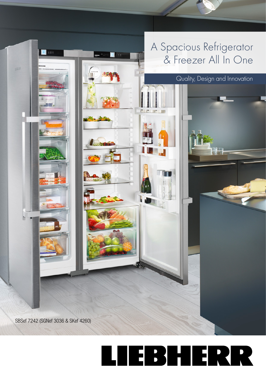## A Spacious Refrigerator & Freezer All In One

Quality, Design and Innovation

SBSef 7242 (SGNef 3036 & SKef 4260)

**B** 2016

536.

## LIEBHERR